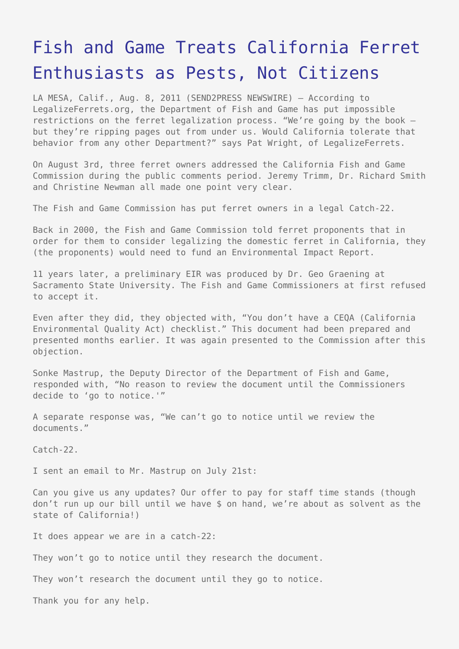## [Fish and Game Treats California Ferret](https://www.send2press.com/wire/2011-08-0808-001/) [Enthusiasts as Pests, Not Citizens](https://www.send2press.com/wire/2011-08-0808-001/)

LA MESA, Calif., Aug. 8, 2011 (SEND2PRESS NEWSWIRE) — According to LegalizeFerrets.org, the Department of Fish and Game has put impossible restrictions on the ferret legalization process. "We're going by the book – but they're ripping pages out from under us. Would California tolerate that behavior from any other Department?" says Pat Wright, of LegalizeFerrets.

On August 3rd, three ferret owners addressed the California Fish and Game Commission during the public comments period. Jeremy Trimm, Dr. Richard Smith and Christine Newman all made one point very clear.

The Fish and Game Commission has put ferret owners in a legal Catch-22.

Back in 2000, the Fish and Game Commission told ferret proponents that in order for them to consider legalizing the domestic ferret in California, they (the proponents) would need to fund an Environmental Impact Report.

11 years later, a preliminary EIR was produced by Dr. Geo Graening at Sacramento State University. The Fish and Game Commissioners at first refused to accept it.

Even after they did, they objected with, "You don't have a CEQA (California Environmental Quality Act) checklist." This document had been prepared and presented months earlier. It was again presented to the Commission after this objection.

Sonke Mastrup, the Deputy Director of the Department of Fish and Game, responded with, "No reason to review the document until the Commissioners decide to 'go to notice.'"

A separate response was, "We can't go to notice until we review the documents."

Catch-22.

I sent an email to Mr. Mastrup on July 21st:

Can you give us any updates? Our offer to pay for staff time stands (though don't run up our bill until we have \$ on hand, we're about as solvent as the state of California!)

It does appear we are in a catch-22:

They won't go to notice until they research the document.

They won't research the document until they go to notice.

Thank you for any help.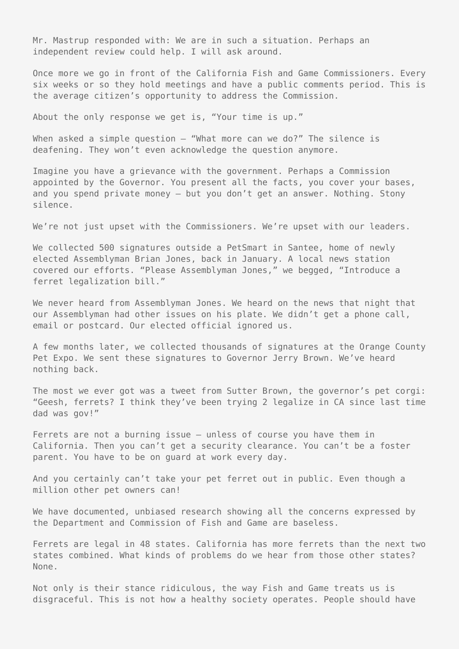Mr. Mastrup responded with: We are in such a situation. Perhaps an independent review could help. I will ask around.

Once more we go in front of the California Fish and Game Commissioners. Every six weeks or so they hold meetings and have a public comments period. This is the average citizen's opportunity to address the Commission.

About the only response we get is, "Your time is up."

When asked a simple question  $-$  "What more can we do?" The silence is deafening. They won't even acknowledge the question anymore.

Imagine you have a grievance with the government. Perhaps a Commission appointed by the Governor. You present all the facts, you cover your bases, and you spend private money – but you don't get an answer. Nothing. Stony silence.

We're not just upset with the Commissioners. We're upset with our leaders.

We collected 500 signatures outside a PetSmart in Santee, home of newly elected Assemblyman Brian Jones, back in January. A local news station covered our efforts. "Please Assemblyman Jones," we begged, "Introduce a ferret legalization bill."

We never heard from Assemblyman Jones. We heard on the news that night that our Assemblyman had other issues on his plate. We didn't get a phone call, email or postcard. Our elected official ignored us.

A few months later, we collected thousands of signatures at the Orange County Pet Expo. We sent these signatures to Governor Jerry Brown. We've heard nothing back.

The most we ever got was a tweet from Sutter Brown, the governor's pet corgi: "Geesh, ferrets? I think they've been trying 2 legalize in CA since last time dad was gov!"

Ferrets are not a burning issue – unless of course you have them in California. Then you can't get a security clearance. You can't be a foster parent. You have to be on guard at work every day.

And you certainly can't take your pet ferret out in public. Even though a million other pet owners can!

We have documented, unbiased research showing all the concerns expressed by the Department and Commission of Fish and Game are baseless.

Ferrets are legal in 48 states. California has more ferrets than the next two states combined. What kinds of problems do we hear from those other states? None.

Not only is their stance ridiculous, the way Fish and Game treats us is disgraceful. This is not how a healthy society operates. People should have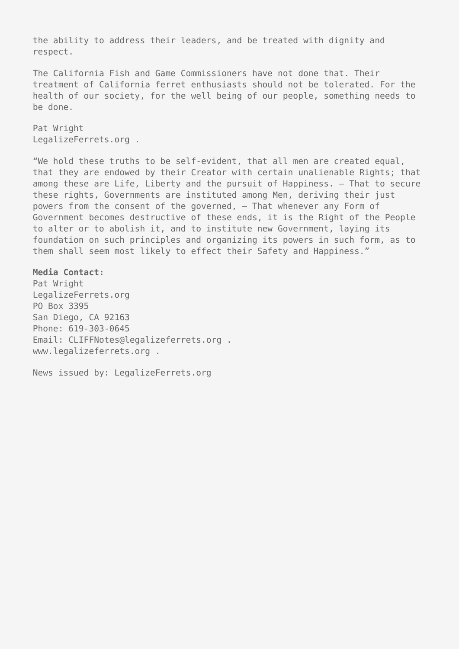the ability to address their leaders, and be treated with dignity and respect.

The California Fish and Game Commissioners have not done that. Their treatment of California ferret enthusiasts should not be tolerated. For the health of our society, for the well being of our people, something needs to be done.

Pat Wright LegalizeFerrets.org .

"We hold these truths to be self-evident, that all men are created equal, that they are endowed by their Creator with certain unalienable Rights; that among these are Life, Liberty and the pursuit of Happiness. – That to secure these rights, Governments are instituted among Men, deriving their just powers from the consent of the governed, – That whenever any Form of Government becomes destructive of these ends, it is the Right of the People to alter or to abolish it, and to institute new Government, laying its foundation on such principles and organizing its powers in such form, as to them shall seem most likely to effect their Safety and Happiness."

## **Media Contact:**

Pat Wright LegalizeFerrets.org PO Box 3395 San Diego, CA 92163 Phone: 619-303-0645 Email: CLIFFNotes@legalizeferrets.org . www.legalizeferrets.org .

News issued by: LegalizeFerrets.org